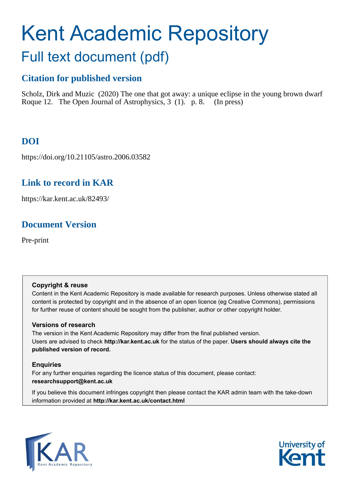# Kent Academic Repository Full text document (pdf)

# **Citation for published version**

Scholz, Dirk and Muzic (2020) The one that got away: a unique eclipse in the young brown dwarf Roque 12. The Open Journal of Astrophysics, 3 (1). p. 8. (In press)

# **DOI**

https://doi.org/10.21105/astro.2006.03582

## **Link to record in KAR**

https://kar.kent.ac.uk/82493/

## **Document Version**

Pre-print

## **Copyright & reuse**

Content in the Kent Academic Repository is made available for research purposes. Unless otherwise stated all content is protected by copyright and in the absence of an open licence (eg Creative Commons), permissions for further reuse of content should be sought from the publisher, author or other copyright holder.

## **Versions of research**

The version in the Kent Academic Repository may differ from the final published version. Users are advised to check **http://kar.kent.ac.uk** for the status of the paper. **Users should always cite the published version of record.**

## **Enquiries**

For any further enquiries regarding the licence status of this document, please contact: **researchsupport@kent.ac.uk**

If you believe this document infringes copyright then please contact the KAR admin team with the take-down information provided at **http://kar.kent.ac.uk/contact.html**



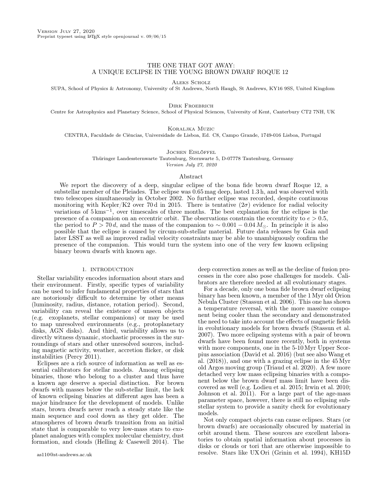#### THE ONE THAT GOT AWAY: A UNIQUE ECLIPSE IN THE YOUNG BROWN DWARF ROQUE 12

Aleks Scholz

SUPA, School of Physics & Astronomy, University of St Andrews, North Haugh, St Andrews, KY16 9SS, United Kingdom

Dirk Froebrich

Centre for Astrophysics and Planetary Science, School of Physical Sciences, University of Kent, Canterbury CT2 7NH, UK

Koraljka Muzic

CENTRA, Faculdade de Ciências, Universidade de Lisboa, Ed. C8, Campo Grande, 1749-016 Lisboa, Portugal

Jochen Eislöffel

Thüringer Landessternwarte Tautenburg, Sternwarte 5, D-07778 Tautenburg, Germany Version July 27, 2020

#### Abstract

We report the discovery of a deep, singular eclipse of the bona fide brown dwarf Roque 12, a substellar member of the Pleiades. The eclipse was 0.65 mag deep, lasted 1.3 h, and was observed with two telescopes simultaneously in October 2002. No further eclipse was recorded, despite continuous monitoring with Kepler/K2 over 70d in 2015. There is tentative  $(2\sigma)$  evidence for radial velocity variations of 5 kms<sup>−</sup><sup>1</sup> , over timescales of three months. The best explanation for the eclipse is the presence of a companion on an eccentric orbit. The observations constrain the eccentricity to  $e > 0.5$ , the period to  $P > 70 d$ , and the mass of the companion to  $\sim 0.001 - 0.04 M_{\odot}$ . In principle it is also possible that the eclipse is caused by circum-sub-stellar material. Future data releases by Gaia and later LSST as well as improved radial velocity constraints may be able to unambiguously confirm the presence of the companion. This would turn the system into one of the very few known eclipsing binary brown dwarfs with known age.

#### 1. INTRODUCTION

Stellar variability encodes information about stars and their environment. Firstly, specific types of variability can be used to infer fundamental properties of stars that are notoriously difficult to determine by other means (luminosity, radius, distance, rotation period). Second, variability can reveal the existence of unseen objects (e.g. exoplanets, stellar companions) or may be used to map unresolved environments (e.g., protoplanetary disks, AGN disks). And third, variability allows us to directly witness dynamic, stochastic processes in the surroundings of stars and other unresolved sources, including magnetic activity, weather, accretion flicker, or disk instabilities (Percy 2011).

Eclipses are a rich source of information as well as essential calibrators for stellar models. Among eclipsing binaries, those who belong to a cluster and thus have a known age deserve a special distinction. For brown dwarfs with masses below the sub-stellar limit, the lack of known eclipsing binaries at different ages has been a major hindrance for the development of models. Unlike stars, brown dwarfs never reach a steady state like the main sequence and cool down as they get older. The atmospheres of brown dwarfs transition from an initial state that is comparable to very low-mass stars to exoplanet analogues with complex molecular chemistry, dust formation, and clouds (Helling & Casewell 2014). The

deep convection zones as well as the decline of fusion processes in the core also pose challenges for models. Calibrators are therefore needed at all evolutionary stages.

For a decade, only one bona fide brown dwarf eclipsing binary has been known, a member of the 1 Myr old Orion Nebula Cluster (Stassun et al. 2006). This one has shown a temperature reversal, with the more massive component being cooler than the secondary and demonstrated the need to take into account the effects of magnetic fields in evolutionary models for brown dwarfs (Stassun et al. 2007). Two more eclipsing systems with a pair of brown dwarfs have been found more recently, both in systems with more components, one in the 5-10 Myr Upper Scorpius association (David et al. 2016) (but see also Wang et al. (2018)), and one with a grazing eclipse in the 45 Myr old Argos moving group (Triaud et al. 2020). A few more detached very low mass eclipsing binaries with a component below the brown dwarf mass limit have been discovered as well (e.g. Lodieu et al. 2015; Irwin et al. 2010; Johnson et al. 2011). For a large part of the age-mass parameter space, however, there is still no eclipsing substellar system to provide a sanity check for evolutionary models.

Not only compact objects can cause eclipses. Stars (or brown dwarfs) are occasionally obscured by material in orbit around them. These sources are excellent laboratories to obtain spatial information about processes in disks or clouds or tori that are otherwise impossible to resolve. Stars like UX Ori (Grinin et al. 1994), KH15D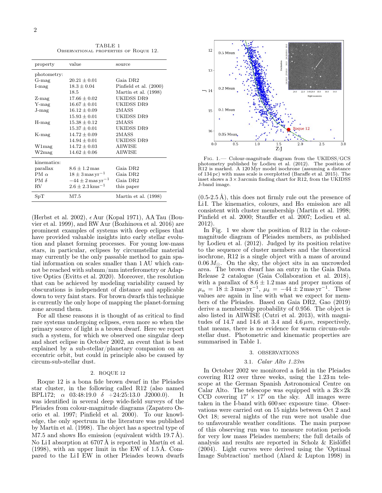TABLE 1 Observational properties of Roque 12.

| property          | value                            | source                 |
|-------------------|----------------------------------|------------------------|
| photometry:       |                                  |                        |
| $G$ -mag          | $20.21 + 0.01$                   | Gaia DR2               |
| $I$ -mag          | $18.3 + 0.04$                    | Pinfield et al. (2000) |
|                   | 18.5                             | Martín et al. (1998)   |
| $Z$ -mag          | $17.66 \pm 0.02$                 | UKIDSS DR9             |
| $Y$ -mag          | $16.67 \pm 0.01$                 | UKIDSS DR9             |
| $J$ - $mag$       | $16.12 + 0.09$                   | 2MASS                  |
|                   | $15.93 + 0.01$                   | UKIDSS DR9             |
| $H$ -mag          | $15.38 \pm 0.12$                 | 2MASS                  |
|                   | $15.37 \pm 0.01$                 | UKIDSS DR9             |
| $K$ -mag          | $14.72 \pm 0.09$                 | 2MASS                  |
|                   | $14.94 \pm 0.01$                 | UKIDSS DR9             |
| W1mag             | $14.72 \pm 0.03$                 | <b>AllWISE</b>         |
| W2mag             | $14.62 + 0.06$                   | AllWISE                |
| kinematics:       |                                  |                        |
| parallax          | $8.6 \pm 1.2$ mas                | Gaia DR2               |
| PM $\alpha$       | $18 \pm 3$ mas yr <sup>-1</sup>  | Gaia DR2               |
| PM $\delta$       | $-44 \pm 2$ mas yr <sup>-1</sup> | Gaia DR2               |
| $\rm RV$          | $2.6 + 2.3$ kms <sup>-1</sup>    | this paper             |
| $_{\mathrm{SpT}}$ | M7.5                             | Martín et al. (1998)   |

(Herbst et al. 2002),  $\epsilon$  Aur (Kopal 1971), AA Tau (Bouvier et al. 1999), and RW Aur (Bozhinova et al. 2016) are prominent examples of systems with deep eclipses that have provided valuable insights into early stellar evolution and planet forming processes. For young low-mass stars, in particular, eclipses by circumstellar material may currently be the only passable method to gain spatial information on scales smaller than 1 AU which cannot be reached with submm/mm interferometry or Adaptive Optics (Evitts et al. 2020). Moreover, the resolution that can be achieved by modeling variability caused by obscurations is independent of distance and applicable down to very faint stars. For brown dwarfs this technique is currently the only hope of mapping the planet-forming zone around them.

For all these reasons it is thought of as critical to find rare systems undergoing eclipses, even more so when the primary source of light is a brown dwarf. Here we report such a system, for which we observed one singular deep and short eclipse in October 2002, an event that is best explained by a sub-stellar/planetary companion on an eccentric orbit, but could in principle also be caused by circum-sub-stellar dust.

#### 2. ROQUE 12

Roque 12 is a bona fide brown dwarf in the Pleiades star cluster, in the following called R12 (also named BPL172;  $\alpha$  03:48:19.0  $\delta$  +24:25:13.0 J2000.0). It was identified in several deep wide-field surveys of the Pleiades from colour-magnitude diagrams (Zapatero Osorio et al. 1997; Pinfield et al. 2000). To our knowledge, the only spectrum in the literature was published by Martín et al. (1998). The object has a spectral type of M7.5 and shows  $H\alpha$  emission (equivalent width 19.7 Å). No LiI absorption at 6707 Å is reported in Martín et al. (1998), with an upper limit in the EW of 1.5 Å. Compared to the LiI EW in other Pleiades brown dwarfs



Fig. 1.— Colour-magnitude diagram from the UKIDSS/GCS photometry published by Lodieu et al. (2012). The position of R12 is marked. A 120 Myr model isochrone (assuming a distance of 134 pc) with mass scale is overplotted (Baraffe et al. 2015). The inset shows a  $3 \times 3$  arcmin finding chart for R12, from the UKIDSS J-band image.

 $(0.5-2.5 \text{ Å})$ , this does not firmly rule out the presence of Li I. The kinematics, colours, and  $H\alpha$  emission are all consistent with cluster membership (Martín et al. 1998; Pinfield et al. 2000; Stauffer et al. 2007; Lodieu et al. 2012).

In Fig. 1 we show the position of R12 in the colourmagnitude diagram of Pleiades members, as published by Lodieu et al. (2012). Judged by its position relative to the sequence of cluster members and the theoretical isochrone, R12 is a single object with a mass of around  $0.06 M_{\odot}$ . On the sky, the object sits in an uncrowded area. The brown dwarf has an entry in the Gaia Data Release 2 catalogue (Gaia Collaboration et al. 2018), with a parallax of  $8.6 \pm 1.2$  mas and proper motions of  $\mu_{\alpha} = 18 \pm 3 \,\text{mas}\,\text{yr}^{-1}, \ \mu_{\delta} = -44 \pm 2 \,\text{mas}\,\text{yr}^{-1}.$  These values are again in line with what we expect for members of the Pleiades. Based on Gaia DR2, Gao (2019) derive a membership probability of 0.956. The object is also listed in AllWISE (Cutri et al. 2013), with magnitudes of 14.7 and 14.6 at 3.4 and 4.6  $\mu$ m, respectively, that means, there is no evidence for warm circum-substellar dust. Photometric and kinematic properties are summarised in Table 1.

#### 3. OBSERVATIONS

#### 3.1. Calar Alto 1.23m

In October 2002 we monitored a field in the Pleiades covering R12 over three weeks, using the 1.23 m telescope at the German Spanish Astronomical Centre on Calar Alto. The telescope was equipped with a  $2k \times 2k$ CCD covering  $17' \times 17'$  on the sky. All images were taken in the I-band with 600 sec exposure time. Observations were carried out on 15 nights between Oct 2 and Oct 18; several nights of the run were not usable due to unfavourable weather conditions. The main purpose of this observing run was to measure rotation periods for very low mass Pleiades members; the full details of analysis and results are reported in Scholz & Eislöffel (2004). Light curves were derived using the 'Optimal Image Subtraction' method (Alard & Lupton 1998) in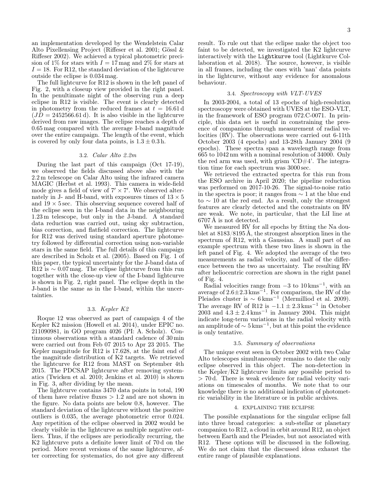an implementation developed by the Wendelstein Calar Alto Pixellensing Project (Riffeser et al. 2001; Gössl & Riffeser 2002). We achieved a typical photometric precision of 1% for stars with  $I = 17$  mag and 2% for stars at  $I = 18$ . For R12, the standard deviation of the lightcurve outside the eclipse is 0.034 mag.

The full lightcurve for R12 is shown in the left panel of Fig. 2, with a closeup view provided in the right panel. In the penultimate night of the observing run a deep eclipse in R12 is visible. The event is clearly detected in photometry from the reduced frames at  $t = 16.61 d$  $(JD = 2452566.61 d)$ . It is also visible in the lightcurve derived from raw images. The eclipse reaches a depth of 0.65 mag compared with the average I-band magnitude over the entire campaign. The length of the event, which is covered by only four data points, is  $1.3 \pm 0.3$  h.

#### 3.2. Calar Alto 2.2m

During the last part of this campaign (Oct 17-19), we observed the fields discussed above also with the 2.2 m telescope on Calar Alto using the infrared camera MAGIC (Herbst et al. 1993). This camera in wide-field mode gives a field of view of  $7' \times 7'$ . We observed alternately in J- and H-band, with exposures times of  $13 \times 5$ and  $19 \times 5$  sec. This observing sequence covered half of the eclipse seen in the I-band data in the neighbouring 1.23 m telescope, but only in the J-band. A standard data reduction was carried out, using sky subtraction, bias correction, and flatfield correction. The lightcurve for R12 was derived using standard aperture photometry followed by differential correction using non-variable stars in the same field. The full details of this campaign are described in Scholz et al. (2005). Based on Fig. 1 of this paper, the typical uncertainty for the J-band data of R12 is  $\sim 0.07$  mag. The eclipse lightcurve from this run together with the close-up view of the I-band lightcurve is shown in Fig. 2, right panel. The eclipse depth in the J-band is the same as in the I-band, within the uncertainties.

#### 3.3. Kepler K2

Roque 12 was observed as part of campaign 4 of the Kepler K2 mission (Howell et al. 2014), under EPIC no. 211090981, in GO program 4026 (PI: A. Scholz). Continuous observations with a standard cadence of 30 min were carried out from Feb 07 2015 to Apr 23 2015. The Kepler magnitude for R12 is 17.628, at the faint end of the magnitude distribution of K2 targets. We retrieved the lightcurve for R12 from MAST on September 4th 2015. The PDCSAP lightcurve after removing systematics (Twicken et al. 2010; Jenkins et al. 2010) is shown in Fig. 3, after dividing by the mean.

The lightcurve contains 3470 data points in total, 190 of them have relative fluxes  $> 1.2$  and are not shown in the figure. No data points are below 0.8, however. The standard deviation of the lightcurve without the positive outliers is 0.035, the average photometric error 0.024. Any repetition of the eclipse observed in 2002 would be clearly visible in the lightcurve as multiple negative outliers. Thus, if the eclipses are periodically recurring, the K2 lightcurve puts a definite lower limit of 70 d on the period. More recent versions of the same lightcurve, after correcting for systematics, do not give any different

result. To rule out that the eclipse make the object too faint to be detected, we investigated the K2 lightcurve interactively with the Lightkurve tool (Lightkurve Collaboration et al. 2018). The source, however, is visible in all frames, including the ones with 'nan' data points in the lightcurve, without any evidence for anomalous behaviour.

#### 3.4. Spectroscopy with VLT-UVES

In 2003-2004, a total of 13 epochs of high-resolution spectroscopy were obtained with UVES at the ESO-VLT, in the framework of ESO program 072.C-0071. In principle, this data set is useful in constraining the presence of companions through measurement of radial velocities (RV). The observations were carried out 6-11th October 2003 (4 epochs) and 13-28th January 2004 (9 epochs). These spectra span a wavelength range from 665 to 1042 nm with a nominal resolution of 34000. Only the red arm was used, with grism  $\text{CD} \#4$ . The integration time for each spectrum was 3000 sec.

We retrieved the extracted spectra for this run from the ESO archive in April 2020; the pipeline reduction was performed on 2017-10-26. The signal-to-noise ratio in the spectra is poor; it ranges from ∼ 1 at the blue end to ∼ 10 at the red end. As a result, only the strongest features are clearly detected and the constraints on RV are weak. We note, in particular, that the LiI line at 6707 Å is not detected.

We measured RV for all epochs by fitting the Na doublet at 8183/8195 Å, the strongest absorption lines in the spectrum of R12, with a Gaussian. A small part of an example spectrum with these two lines is shown in the left panel of Fig. 4. We adopted the average of the two measurements as radial velocity, and half of the difference between the two as uncertainty. The resulting RV after heliocentric correction are shown in the right panel of Fig. 4.

Radial velocities range from  $-3$  to  $10 \text{ km s}^{-1}$ , with an average of  $2.6 \pm 2.3$  kms<sup> $-1$ </sup>. For comparison, the RV of the Pleiades cluster is  $\sim 6 \,\mathrm{km}\mathrm{s}^{-1}$  (Mermilliod et al. 2009). The average RV of R12 is  $-1.1 \pm 2.3$  kms<sup>-1</sup> in October 2003 and  $4.3 \pm 2.4 \,\mathrm{km s^{-1}}$  in January 2004. This might indicate long-term variations in the radial velocity with an amplitude of  $\sim 5 \,\mathrm{km s^{-1}}$ , but at this point the evidence is only tentative.

#### 3.5. Summary of observations

The unique event seen in October 2002 with two Calar Alto telescopes simultaneously remains to date the only eclipse observed in this object. The non-detection in the Kepler/K2 lightcurve limits any possible period to > 70 d. There is weak evidence for radial velocity variations on timescales of months. We note that to our knowledge there is no additional indication of photometric variability in the literature or in public archives.

#### 4. EXPLAINING THE ECLIPSE

The possible explanations for the singular eclipse fall into three broad categories: a sub-stellar or planetary companion to R12, a cloud in orbit around R12, an object between Earth and the Pleiades, but not associated with R12. These options will be discussed in the following. We do not claim that the discussed ideas exhaust the entire range of plausible explanations.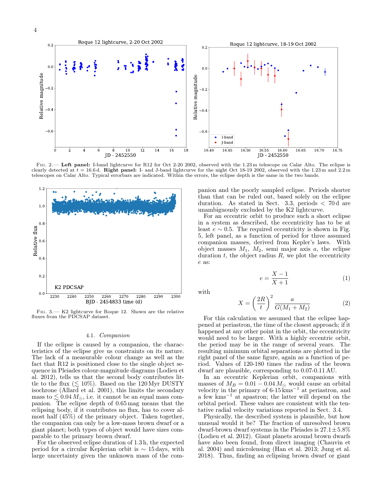

Fig. 2.— Left panel: I-band lightcurve for R12 for Oct 2-20 2002, observed with the 1.23 m telescope on Calar Alto. The eclipse is clearly detected at  $t = 16.6$  d. Right panel: I- and J-band lightcurve for the night Oct 18-19 2002, observed with the 1.23 m and 2.2 m telescopes on Calar Alto. Typical errorbars are indicated. Within the errors, the eclipse depth is the same in the two bands.



Fig. 3.— K2 lightcurve for Roque 12. Shown are the relative fluxes from the PDCSAP dataset.

#### 4.1. Companion

If the eclipse is caused by a companion, the characteristics of the eclipse give us constraints on its nature. The lack of a measurable colour change as well as the fact that R12 is positioned close to the single object sequence in Pleiades colour-magnitude diagrams (Lodieu et al. 2012), tells us that the second body contributes little to the flux  $(\leq 10\%)$ . Based on the 120 Myr DUSTY isochrone (Allard et al. 2001), this limits the secondary mass to  $\leq 0.04 M_{\odot}$ , i.e. it cannot be an equal mass companion. The eclipse depth of 0.65 mag means that the eclipsing body, if it contributes no flux, has to cover almost half (45%) of the primary object. Taken together, the companion can only be a low-mass brown dwarf or a giant planet; both types of object would have sizes comparable to the primary brown dwarf.

For the observed eclipse duration of 1.3 h, the expected period for a circular Keplerian orbit is ∼ 15 days, with large uncertainty given the unknown mass of the companion and the poorly sampled eclipse. Periods shorter than that can be ruled out, based solely on the eclipse duration. As stated in Sect. 3.3, periods  $\lt$  70 d are unambiguously excluded by the K2 lightcurve.

For an eccentric orbit to produce such a short eclipse in a system as described, the eccentricity has to be at least  $e \sim 0.5$ . The required eccentricity is shown in Fig. 5, left panel, as a function of period for three assumed companion masses, derived from Kepler's laws. With object masses  $M_1$ ,  $M_2$ , semi major axis  $a$ , the eclipse duration  $t$ , the object radius  $R$ , we plot the eccentricity e as:

$$
e = \frac{X - 1}{X + 1} \tag{1}
$$

with

$$
X = \left(\frac{2R}{t}\right)^2 \frac{a}{G(M_1 + M_2)}\tag{2}
$$

For this calculation we assumed that the eclipse happened at periastron, the time of the closest approach; if it happened at any other point in the orbit, the eccentricity would need to be larger. With a highly eccentric orbit, the period may be in the range of several years. The resulting minimum orbital separations are plotted in the right panel of the same figure, again as a function of period. Values of 120-180 times the radius of the brown dwarf are plausible, corresponding to 0.07-0.11 AU.

In an eccentric Keplerian orbit, companions with masses of  $M_B = 0.01 - 0.04 M_{\odot}$  would cause an orbital velocity in the primary of  $6-15$  kms<sup>-1</sup> at periastron, and a few kms<sup>−</sup><sup>1</sup> at apastron; the latter will depend on the orbital period. These values are consistent with the tentative radial velocity variations reported in Sect. 3.4.

Physically, the described system is plausible, but how unusual would it be? The fraction of unresolved brown dwarf-brown dwarf systems in the Pleiades is  $27.1 \pm 5.8\%$ (Lodieu et al. 2012). Giant planets around brown dwarfs have also been found, from direct imaging (Chauvin et al. 2004) and microlensing (Han et al. 2013; Jung et al. 2018). Thus, finding an eclipsing brown dwarf or giant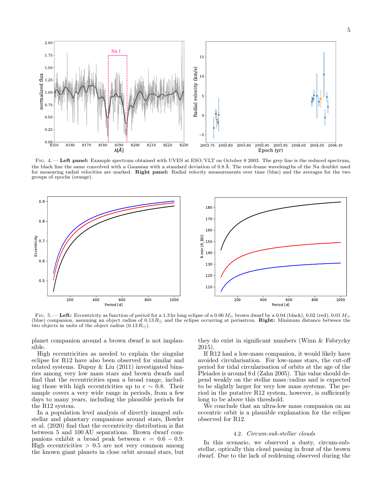

FIG. 4.— Left panel: Example spectrum obtained with UVES at ESO/VLT on October 8 2003. The grey line is the reduced spectrum, the black line the same convolved with a Gaussian with a standard deviation of 0.8 Å. The rest-frame wavelengths of the Na doublet used for measuring radial velocities are marked. Right panel: Radial velocity measurements over time (blue) and the averages for the two groups of epochs (orange).



Fig. 5.— Left: Eccentricity as function of period for a 1.3 hr long eclipse of a 0.06  $M_{\odot}$  brown dwarf by a 0.04 (black), 0.02 (red), 0.01  $M_{\odot}$ (blue) companion, assuming an object radius of  $0.13 R<sub>O</sub>$  and the eclipse occurring at periastron. **Right:** Minimum distance between the two objects in units of the object radius  $(0.13 R<sub>O</sub>)$ .

planet companion around a brown dwarf is not implausible.

High eccentricities as needed to explain the singular eclipse for R12 have also been observed for similar and related systems. Dupuy & Liu (2011) investigated binaries among very low mass stars and brown dwarfs and find that the eccentricities span a broad range, including those with high eccentricities up to  $e \sim 0.8$ . Their sample covers a very wide range in periods, from a few days to many years, including the plausible periods for the R12 system.

In a population level analysis of directly imaged substellar and planetary companions around stars, Bowler et al. (2020) find that the eccentricity distribution is flat between 5 and 100 AU separations. Brown dwarf companions exhibit a broad peak between  $e = 0.6 - 0.9$ . High eccentricities  $> 0.5$  are not very common among the known giant planets in close orbit around stars, but

they do exist in significant numbers (Winn & Fabrycky 2015).

If R12 had a low-mass companion, it would likely have avoided circularisation. For low-mass stars, the cut-off period for tidal circularisation of orbits at the age of the Pleiades is around 8 d (Zahn 2005). This value should depend weakly on the stellar mass/radius and is expected to be slightly larger for very low mass systems. The period in the putative R12 system, however, is sufficiently long to be above this threshold.

We conclude that an ultra-low mass companion on an eccentric orbit is a plausible explanation for the eclipse observed for R12.

#### 4.2. Circum-sub-stellar clouds

In this scenario, we observed a dusty, circum-substellar, optically thin cloud passing in front of the brown dwarf. Due to the lack of reddening observed during the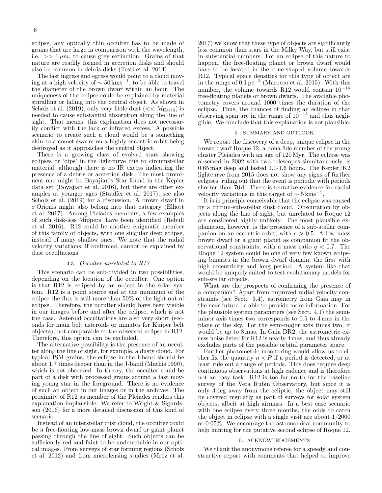eclipse, any optically thin occulter has to be made of grains that are large in comparison with the wavelength, i.e.  $>> 1 \mu m$ , to cause grey extinction. Grains of that nature are readily formed in accretion disks and should also be common in debris disks (Testi et al. 2014).

The fast ingress and egress would point to a cloud moving at a high velocity of  $\sim 50 \,\mathrm{km s}^{-1}$ , to be able to travel the diameter of the brown dwarf within an hour. The uniqueness of the eclipse could be explained by material spiralling or falling into the central object. As shown in Scholz et al. (2019), only very little dust ( $<< M_{\text{Earth}}$ ) is needed to cause substantial absorption along the line of sight. That means, this explanation does not necessarily conflict with the lack of infrared excess. A possible scenario to create such a cloud would be a something akin to a comet swarm on a highly eccentric orbit being destroyed as it approaches the central object.

There is a growing class of evolved stars showing eclipses or 'dips' in the lightcurve due to circumstellar material, although there is no IR excess indicating the presence of a debris or accretion disk. The most prominent one might be Boyajian's Star found in the Kepler data set (Boyajian et al. 2016), but there are other examples at younger ages (Stauffer et al. 2017), see also Scholz et al. (2019) for a discussion. A brown dwarf in  $\sigma$  Orionis might also belong into that category (Elliott et al. 2017). Among Pleiades members, a few examples of such disk-less 'dippers' have been identified (Rebull et al. 2016). R12 could be another enigmatic member of this family of objects, with one singular deep eclipse, instead of many shallow ones. We note that the radial velocity variations, if confirmed, cannot be explained by dust occultations.

#### 4.3. Occulter unrelated to R12

This scenario can be sub-divided in two possibilities, depending on the location of the occulter. One option is that R12 is eclipsed by an object in the solar system. R12 is a point source and at the minimum of the eclipse the flux is still more than 50% of the light out of eclipse. Therefore, the occulter should have been visible in our images before and after the eclipse, which is not the case. Asteroid occultations are also very short (seconds for main belt asteroids or minutes for Kuiper belt objects), not comparable to the observed eclipse in R12. Therefore, this option can be excluded.

The alternative possibility is the presence of an occulter along the line of sight, for example, a dusty cloud. For typical ISM grains, the eclipse in the I-band should be about 1.7 times deeper than in the J-band (Mathis 1990), which is not observed. In theory, the occulter could be part of a disk with processed grains around a fast moving young star in the foreground. There is no evidence of such an object in our images or in the archives. The proximity of R12 as member of the Pleiades renders this explanation implausible. We refer to Wright & Sigurdsson (2016) for a more detailed discussion of this kind of scenario.

Instead of an interstellar dust cloud, the occulter could be a free-floating low-mass brown dwarf or giant planet passing through the line of sight. Such objects can be sufficiently red and faint to be undetectable in our optical images. From surveys of star forming regions (Scholz et al. 2012) and from microlensing studies (Mróz et al.

2017) we know that these type of objects are significantly less common than stars in the Milky Way, but still exist in substantial numbers. For an eclipse of this nature to happen, the free-floating planet or brown dwarf would have to be located in the cone-shaped volume towards R12. Typical space densities for this type of object are in the range of  $0.1 \,\mathrm{pc}^{-3}$  (Marocco et al. 2015). With this number, the volume towards R12 would contain  $10^{-16}$ free-floating planets or brown dwarfs. The available photometry covers around 1000 times the duration of the eclipse. Thus, the chances of finding an eclipse in that observing span are in the range of  $10^{-13}$  and thus negligible. We conclude that this explanation is not plausible.

#### 5. SUMMARY AND OUTLOOK

We report the discovery of a deep, unique eclipse in the brown dwarf Roque 12, a bona fide member of the young cluster Pleiades with an age of 120 Myr. The eclipse was observed in 2002 with two telescopes simultaneously, is 0.65 mag deep and lasted 1.0-1.6 hours. The Kepler/K2 lightcurve from 2015 does not show any signs of further eclipses, ruling out that the event is periodic with periods shorter than 70 d. There is tentative evidence for radial velocity variations in this target of  $\sim 5 \,\mathrm{km}\mathrm{s}^{-1}$ .

It is in principle conceivable that the eclipse was caused by a circum-sub-stellar dust cloud. Obscuration by objects along the line of sight, but unrelated to Roque 12 are considered highly unlikely. The most plausible explanation, however, is the presence of a sub-stellar companion on an eccentric orbit, with  $e > 0.5$ . A low mass brown dwarf or a giant planet as companion fit the observational constraints, with a mass ratio  $q < 0.7$ . The Roque 12 system could be one of very few known eclipsing binaries in the brown dwarf domain, the first with high eccentricity and long period. A system like that would be uniquely suited to test evolutionary models for sub-stellar objects.

What are the prospects of confirming the presence of a companion? Apart from improved radial velocity constraints (see Sect. 3.4), astrometry from Gaia may in the near future be able to provide more information. For the plausible system parameters (see Sect. 4.1) the semiminor axis times two corresponds to 0.5 to 4 mas in the plane of the sky. For the semi-major axis times two, it would be up to 8 mas. In Gaia DR2, the astrometric excess noise listed for R12 is nearly 4 mas, and thus already excludes parts of the possible orbital parameter space.

Further photometric monitoring would allow us to either fix the quantity  $n \times P$  if a period is detected, or at least rule out a range of periods. This does require deep continuous observations at high cadence and is therefore not an easy task. R12 is too far north for the baseline survey of the Vera Rubin Observatory, but since it is only 4 deg away from the ecliptic, the object may still be covered regularly as part of surveys for solar system objects, albeit at high airmass. In a best case scenario with one eclipse every three months, the odds to catch the object in eclipse with a single visit are about 1/2000 or 0.05%. We encourage the astronomical community to help hunting for the putative second eclipse of Roque 12.

#### 6. ACKNOWLEDGEMENTS

We thank the anonymous referee for a speedy and constructive report with comments that helped to improve